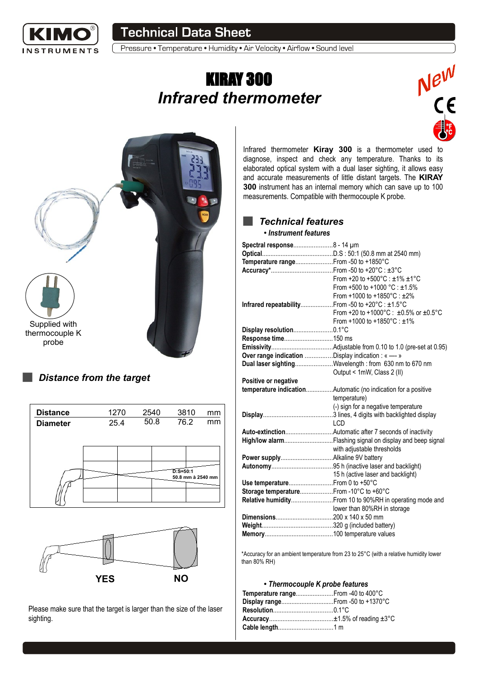

Pressure • Temperature • Humidity • Air Velocity • Airflow • Sound level

# KIRAY 300 *Infrared thermometer*





#### *Distance from the target*

| <b>Distance</b> | 1270 |  | 2540 |  |             | 3810 | mm                |
|-----------------|------|--|------|--|-------------|------|-------------------|
| <b>Diameter</b> | 25.4 |  | 50.8 |  | 76.2        |      | mm                |
|                 |      |  |      |  |             |      |                   |
|                 |      |  |      |  |             |      |                   |
|                 |      |  |      |  | $D: S=50:1$ |      | 50.8 mm à 2540 mm |
|                 |      |  |      |  |             |      |                   |



Please make sure that the target is larger than the size of the laser sighting.

Infrared thermometer **Kiray 300** is a thermometer used to diagnose, inspect and check any temperature. Thanks to its elaborated optical system with a dual laser sighting, it allows easy and accurate measurements of little distant targets. The **KIRAY 300** instrument has an internal memory which can save up to 100 measurements. Compatible with thermocouple K probe.

## *Technical features*

#### ● *Instrument features*

| Spectral response8 - 14 µm                          |                                                               |
|-----------------------------------------------------|---------------------------------------------------------------|
|                                                     |                                                               |
| Temperature range From -50 to +1850°C               |                                                               |
|                                                     |                                                               |
|                                                     | From +20 to +500°C : ±1% ±1°C                                 |
|                                                     | From +500 to +1000 °C : ±1.5%                                 |
|                                                     | From +1000 to +1850°C: ±2%                                    |
| Infrared repeatability From -50 to +20°C : ±1.5°C   |                                                               |
|                                                     | From +20 to +1000°C : $\pm 0.5\%$ or $\pm 0.5\degree$ C       |
|                                                     | From +1000 to +1850 $^{\circ}$ C : $\pm$ 1%                   |
| Display resolution0.1°C                             |                                                               |
| Response time150 ms                                 |                                                               |
|                                                     |                                                               |
| Over range indication Display indication : « ---- » |                                                               |
|                                                     | Dual laser sightingWavelength: from 630 nm to 670 nm          |
|                                                     | Output < 1mW, Class 2 (II)                                    |
| Positive or negative                                |                                                               |
|                                                     | temperature indicationAutomatic (no indication for a positive |
|                                                     | temperature)                                                  |
|                                                     | (-) sign for a negative temperature                           |
|                                                     |                                                               |
|                                                     | <b>LCD</b>                                                    |
|                                                     |                                                               |
|                                                     |                                                               |
|                                                     | with adjustable thresholds                                    |
|                                                     |                                                               |
|                                                     |                                                               |
|                                                     | 15 h (active laser and backlight)                             |
| Use temperature From 0 to +50°C                     |                                                               |
| Storage temperatureFrom -10°C to +60°C              |                                                               |
|                                                     | Relative humidity From 10 to 90%RH in operating mode and      |
|                                                     | lower than 80%RH in storage                                   |
|                                                     |                                                               |
|                                                     |                                                               |
|                                                     |                                                               |

\*Accuracy for an ambient temperature from 23 to 25°C (with a relative humidity lower than 80% RH)

#### ● *Thermocouple K probe features*

| Temperature range From -40 to 400°C |  |
|-------------------------------------|--|
| Display range From -50 to +1370°C   |  |
|                                     |  |
|                                     |  |
|                                     |  |
|                                     |  |